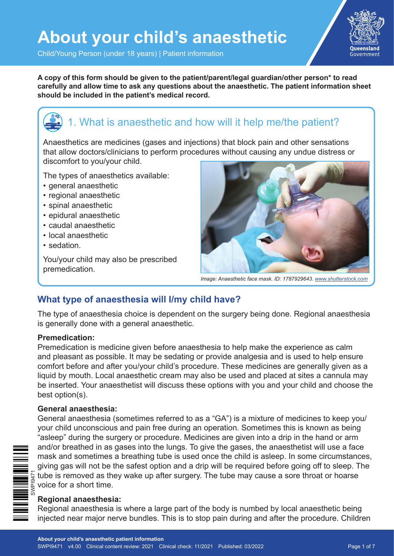

Child/Young Person (under 18 years) | Patient information

**A copy of this form should be given to the patient/parent/legal guardian/other person\* to read carefully and allow time to ask any questions about the anaesthetic. The patient information sheet should be included in the patient's medical record.**

# 1. What is anaesthetic and how will it help me/the patient?

Anaesthetics are medicines (gases and injections) that block pain and other sensations that allow doctors/clinicians to perform procedures without causing any undue distress or discomfort to you/your child.

The types of anaesthetics available:

- general anaesthetic
- regional anaesthetic
- spinal anaesthetic
- epidural anaesthetic
- caudal anaesthetic
- local anaesthetic
- sedation.

You/your child may also be prescribed premedication.



*Image: Anaesthetic face mask. ID: 1787929643. www.shutterstock.com*

#### **What type of anaesthesia will I/my child have?**

The type of anaesthesia choice is dependent on the surgery being done. Regional anaesthesia is generally done with a general anaesthetic.

#### **Premedication:**

Premedication is medicine given before anaesthesia to help make the experience as calm and pleasant as possible. It may be sedating or provide analgesia and is used to help ensure comfort before and after you/your child's procedure. These medicines are generally given as a liquid by mouth. Local anaesthetic cream may also be used and placed at sites a cannula may be inserted. Your anaesthetist will discuss these options with you and your child and choose the best option(s).

#### **General anaesthesia:**

General anaesthesia (sometimes referred to as a "GA") is a mixture of medicines to keep you/ your child unconscious and pain free during an operation. Sometimes this is known as being "asleep" during the surgery or procedure. Medicines are given into a drip in the hand or arm and/or breathed in as gases into the lungs. To give the gases, the anaesthetist will use a face mask and sometimes a breathing tube is used once the child is asleep. In some circumstances, giving gas will not be the safest option and a drip will be required before going off to sleep. The tube is removed as they wake up after surgery. The tube may cause a sore throat or hoarse  $\equiv \frac{\sum_{\substack{\text{S} \text{S} \\ \text{S} \\ \text{S}}} \sum_{\substack{\text{S} \text{S} \\ \text{S}}}$  tube is removed as the set of a short time.



#### **Regional anaesthesia:**

Regional anaesthesia is where a large part of the body is numbed by local anaesthetic being injected near major nerve bundles. This is to stop pain during and after the procedure. Children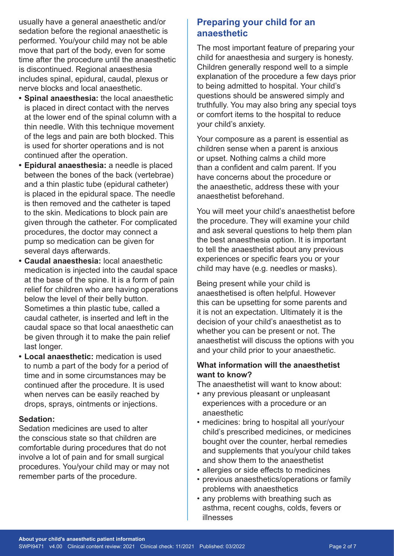usually have a general anaesthetic and/or sedation before the regional anaesthetic is performed. You/your child may not be able move that part of the body, even for some time after the procedure until the anaesthetic is discontinued. Regional anaesthesia includes spinal, epidural, caudal, plexus or nerve blocks and local anaesthetic.

- **• Spinal anaesthesia:** the local anaesthetic is placed in direct contact with the nerves at the lower end of the spinal column with a thin needle. With this technique movement of the legs and pain are both blocked. This is used for shorter operations and is not continued after the operation.
- **• Epidural anaesthesia:** a needle is placed between the bones of the back (vertebrae) and a thin plastic tube (epidural catheter) is placed in the epidural space. The needle is then removed and the catheter is taped to the skin. Medications to block pain are given through the catheter. For complicated procedures, the doctor may connect a pump so medication can be given for several days afterwards.
- **• Caudal anaesthesia:** local anaesthetic medication is injected into the caudal space at the base of the spine. It is a form of pain relief for children who are having operations below the level of their belly button. Sometimes a thin plastic tube, called a caudal catheter, is inserted and left in the caudal space so that local anaesthetic can be given through it to make the pain relief last longer.
- **• Local anaesthetic:** medication is used to numb a part of the body for a period of time and in some circumstances may be continued after the procedure. It is used when nerves can be easily reached by drops, sprays, ointments or injections.

#### **Sedation:**

Sedation medicines are used to alter the conscious state so that children are comfortable during procedures that do not involve a lot of pain and for small surgical procedures. You/your child may or may not remember parts of the procedure.

#### **Preparing your child for an anaesthetic**

The most important feature of preparing your child for anaesthesia and surgery is honesty. Children generally respond well to a simple explanation of the procedure a few days prior to being admitted to hospital. Your child's questions should be answered simply and truthfully. You may also bring any special toys or comfort items to the hospital to reduce your child's anxiety.

Your composure as a parent is essential as children sense when a parent is anxious or upset. Nothing calms a child more than a confident and calm parent. If you have concerns about the procedure or the anaesthetic, address these with your anaesthetist beforehand.

You will meet your child's anaesthetist before the procedure. They will examine your child and ask several questions to help them plan the best anaesthesia option. It is important to tell the anaesthetist about any previous experiences or specific fears you or your child may have (e.g. needles or masks).

Being present while your child is anaesthetised is often helpful. However this can be upsetting for some parents and it is not an expectation. Ultimately it is the decision of your child's anaesthetist as to whether you can be present or not. The anaesthetist will discuss the options with you and your child prior to your anaesthetic.

#### **What information will the anaesthetist want to know?**

The anaesthetist will want to know about:

- any previous pleasant or unpleasant experiences with a procedure or an anaesthetic
- medicines: bring to hospital all your/your child's prescribed medicines, or medicines bought over the counter, herbal remedies and supplements that you/your child takes and show them to the anaesthetist
- allergies or side effects to medicines
- previous anaesthetics/operations or family problems with anaesthetics
- any problems with breathing such as asthma, recent coughs, colds, fevers or illnesses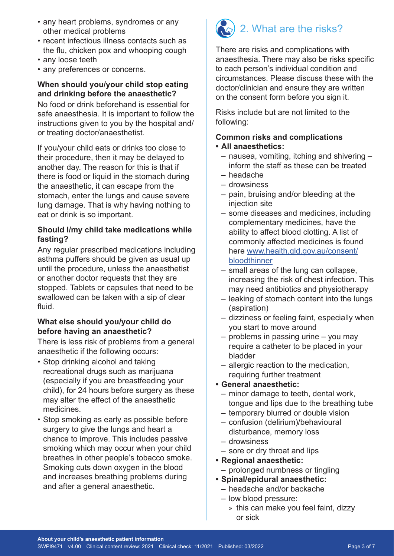- any heart problems, syndromes or any other medical problems
- recent infectious illness contacts such as the flu, chicken pox and whooping cough
- any loose teeth
- any preferences or concerns.

#### **When should you/your child stop eating and drinking before the anaesthetic?**

No food or drink beforehand is essential for safe anaesthesia. It is important to follow the instructions given to you by the hospital and/ or treating doctor/anaesthetist.

If you/your child eats or drinks too close to their procedure, then it may be delayed to another day. The reason for this is that if there is food or liquid in the stomach during the anaesthetic, it can escape from the stomach, enter the lungs and cause severe lung damage. That is why having nothing to eat or drink is so important.

#### **Should I/my child take medications while fasting?**

Any regular prescribed medications including asthma puffers should be given as usual up until the procedure, unless the anaesthetist or another doctor requests that they are stopped. Tablets or capsules that need to be swallowed can be taken with a sip of clear fluid.

#### **What else should you/your child do before having an anaesthetic?**

There is less risk of problems from a general anaesthetic if the following occurs:

- Stop drinking alcohol and taking recreational drugs such as marijuana (especially if you are breastfeeding your child), for 24 hours before surgery as these may alter the effect of the anaesthetic medicines.
- Stop smoking as early as possible before surgery to give the lungs and heart a chance to improve. This includes passive smoking which may occur when your child breathes in other people's tobacco smoke. Smoking cuts down oxygen in the blood and increases breathing problems during and after a general anaesthetic.

# 2. What are the risks?

There are risks and complications with anaesthesia. There may also be risks specific to each person's individual condition and circumstances. Please discuss these with the doctor/clinician and ensure they are written on the consent form before you sign it.

Risks include but are not limited to the following:

#### **Common risks and complications**

- **• All anaesthetics:**
	- nausea, vomiting, itching and shivering inform the staff as these can be treated
	- headache
	- drowsiness
	- pain, bruising and/or bleeding at the injection site
	- some diseases and medicines, including complementary medicines, have the ability to affect blood clotting. A list of commonly affected medicines is found here www.health.qld.gov.au/consent/ bloodthinner
	- small areas of the lung can collapse, increasing the risk of chest infection. This may need antibiotics and physiotherapy
	- leaking of stomach content into the lungs (aspiration)
	- dizziness or feeling faint, especially when you start to move around
	- problems in passing urine you may require a catheter to be placed in your bladder
	- allergic reaction to the medication, requiring further treatment
- **• General anaesthetic:**
	- minor damage to teeth, dental work, tongue and lips due to the breathing tube
	- temporary blurred or double vision
	- confusion (delirium)/behavioural disturbance, memory loss
	- drowsiness
	- sore or dry throat and lips
- **• Regional anaesthetic:**
	- prolonged numbness or tingling
- **• Spinal/epidural anaesthetic:**
	- headache and/or backache
	- low blood pressure:
		- » this can make you feel faint, dizzy or sick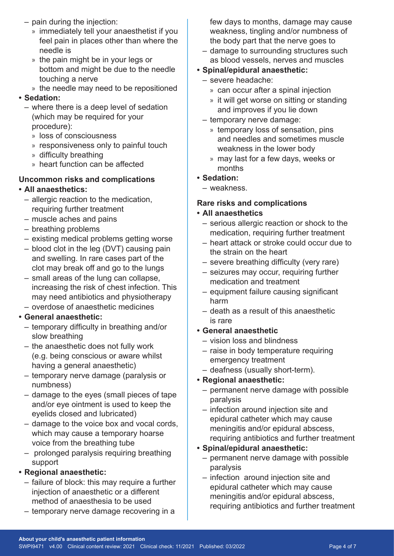- pain during the injection:
	- » immediately tell your anaesthetist if you feel pain in places other than where the needle is
	- » the pain might be in your legs or bottom and might be due to the needle touching a nerve
	- » the needle may need to be repositioned

#### **• Sedation:**

- where there is a deep level of sedation (which may be required for your procedure):
	- » loss of consciousness
	- » responsiveness only to painful touch
	- » difficulty breathing
	- » heart function can be affected

#### **Uncommon risks and complications**

#### **• All anaesthetics:**

- allergic reaction to the medication, requiring further treatment
- muscle aches and pains
- breathing problems
- existing medical problems getting worse
- blood clot in the leg (DVT) causing pain and swelling. In rare cases part of the clot may break off and go to the lungs
- small areas of the lung can collapse, increasing the risk of chest infection. This may need antibiotics and physiotherapy
- overdose of anaesthetic medicines

#### **• General anaesthetic:**

- temporary difficulty in breathing and/or slow breathing
- the anaesthetic does not fully work (e.g. being conscious or aware whilst having a general anaesthetic)
- temporary nerve damage (paralysis or numbness)
- damage to the eyes (small pieces of tape and/or eye ointment is used to keep the eyelids closed and lubricated)
- damage to the voice box and vocal cords, which may cause a temporary hoarse voice from the breathing tube
- prolonged paralysis requiring breathing support

#### **• Regional anaesthetic:**

- failure of block: this may require a further injection of anaesthetic or a different method of anaesthesia to be used
- temporary nerve damage recovering in a

few days to months, damage may cause weakness, tingling and/or numbness of the body part that the nerve goes to

- damage to surrounding structures such as blood vessels, nerves and muscles
- **• Spinal/epidural anaesthetic:**
	- severe headache:
		- » can occur after a spinal injection
		- » it will get worse on sitting or standing and improves if you lie down
	- temporary nerve damage:
		- » temporary loss of sensation, pins and needles and sometimes muscle weakness in the lower body
		- » may last for a few days, weeks or months
- **• Sedation:**
	- weakness.

## **Rare risks and complications**

#### **• All anaesthetics**

- serious allergic reaction or shock to the medication, requiring further treatment
- heart attack or stroke could occur due to the strain on the heart
- severe breathing difficulty (very rare)
- seizures may occur, requiring further medication and treatment
- equipment failure causing significant harm
- death as a result of this anaesthetic is rare
- **• General anaesthetic**
	- vision loss and blindness
	- raise in body temperature requiring emergency treatment
	- deafness (usually short-term).

### **• Regional anaesthetic:**

- permanent nerve damage with possible paralysis
- infection around injection site and epidural catheter which may cause meningitis and/or epidural abscess, requiring antibiotics and further treatment
- **• Spinal/epidural anaesthetic:**
	- permanent nerve damage with possible paralysis
	- infection around injection site and epidural catheter which may cause meningitis and/or epidural abscess, requiring antibiotics and further treatment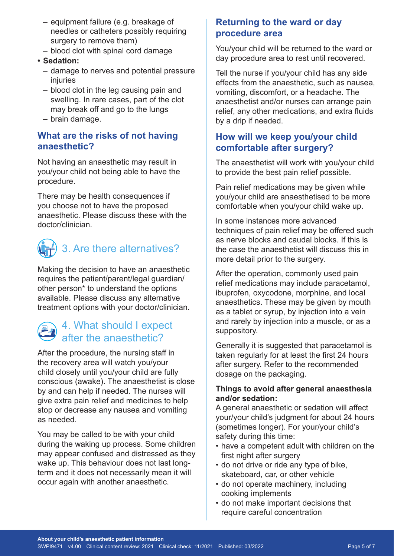- equipment failure (e.g. breakage of needles or catheters possibly requiring surgery to remove them)
- blood clot with spinal cord damage
- **• Sedation:**
	- damage to nerves and potential pressure injuries
	- blood clot in the leg causing pain and swelling. In rare cases, part of the clot may break off and go to the lungs
	- brain damage.

#### **What are the risks of not having anaesthetic?**

Not having an anaesthetic may result in you/your child not being able to have the procedure.

There may be health consequences if you choose not to have the proposed anaesthetic. Please discuss these with the doctor/clinician.



Making the decision to have an anaesthetic requires the patient/parent/legal guardian/ other person\* to understand the options available. Please discuss any alternative treatment options with your doctor/clinician.

# 4. What should I expect after the anaesthetic?

After the procedure, the nursing staff in the recovery area will watch you/your child closely until you/your child are fully conscious (awake). The anaesthetist is close by and can help if needed. The nurses will give extra pain relief and medicines to help stop or decrease any nausea and vomiting as needed.

You may be called to be with your child during the waking up process. Some children may appear confused and distressed as they wake up. This behaviour does not last longterm and it does not necessarily mean it will occur again with another anaesthetic.

#### **Returning to the ward or day procedure area**

You/your child will be returned to the ward or day procedure area to rest until recovered.

Tell the nurse if you/your child has any side effects from the anaesthetic, such as nausea, vomiting, discomfort, or a headache. The anaesthetist and/or nurses can arrange pain relief, any other medications, and extra fluids by a drip if needed.

#### **How will we keep you/your child comfortable after surgery?**

The anaesthetist will work with you/your child to provide the best pain relief possible.

Pain relief medications may be given while you/your child are anaesthetised to be more comfortable when you/your child wake up.

In some instances more advanced techniques of pain relief may be offered such as nerve blocks and caudal blocks. If this is the case the anaesthetist will discuss this in more detail prior to the surgery.

After the operation, commonly used pain relief medications may include paracetamol, ibuprofen, oxycodone, morphine, and local anaesthetics. These may be given by mouth as a tablet or syrup, by injection into a vein and rarely by injection into a muscle, or as a suppository.

Generally it is suggested that paracetamol is taken regularly for at least the first 24 hours after surgery. Refer to the recommended dosage on the packaging.

#### **Things to avoid after general anaesthesia and/or sedation:**

A general anaesthetic or sedation will affect your/your child's judgment for about 24 hours (sometimes longer). For your/your child's safety during this time:

- have a competent adult with children on the first night after surgery
- do not drive or ride any type of bike, skateboard, car, or other vehicle
- do not operate machinery, including cooking implements
- do not make important decisions that require careful concentration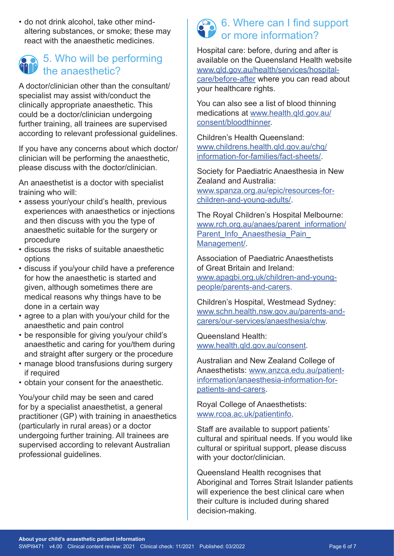• do not drink alcohol, take other mindaltering substances, or smoke; these may react with the anaesthetic medicines.

# 5. Who will be performing the anaesthetic?

A doctor/clinician other than the consultant/ specialist may assist with/conduct the clinically appropriate anaesthetic. This could be a doctor/clinician undergoing further training, all trainees are supervised according to relevant professional guidelines.

If you have any concerns about which doctor/ clinician will be performing the anaesthetic, please discuss with the doctor/clinician.

An anaesthetist is a doctor with specialist training who will:

- assess your/your child's health, previous experiences with anaesthetics or injections and then discuss with you the type of anaesthetic suitable for the surgery or procedure
- discuss the risks of suitable anaesthetic options
- discuss if you/your child have a preference for how the anaesthetic is started and given, although sometimes there are medical reasons why things have to be done in a certain way
- agree to a plan with you/your child for the anaesthetic and pain control
- be responsible for giving you/your child's anaesthetic and caring for you/them during and straight after surgery or the procedure
- manage blood transfusions during surgery if required
- obtain your consent for the anaesthetic.

You/your child may be seen and cared for by a specialist anaesthetist, a general practitioner (GP) with training in anaesthetics (particularly in rural areas) or a doctor undergoing further training. All trainees are supervised according to relevant Australian professional guidelines.

# $\land$  6. Where can I find support or more information?

Hospital care: before, during and after is available on the Queensland Health website [www.qld.gov.au/health/services/hospital](http://www.qld.gov.au/health/services/hospital-care/before-after)[care/before-after](http://www.qld.gov.au/health/services/hospital-care/before-after) where you can read about your healthcare rights.

You can also see a list of blood thinning medications at [www.health.qld.gov.au/](http://www.health.qld.gov.au/consent/bloodthinner) [consent/bloodthinner](http://www.health.qld.gov.au/consent/bloodthinner).

Children's Health Queensland: [www.childrens.health.qld.gov.au/chq/](http://www.childrens.health.qld.gov.au/chq/information-for-families/fact-sheets/) [information-for-families/fact-sheets/](http://www.childrens.health.qld.gov.au/chq/information-for-families/fact-sheets/).

Society for Paediatric Anaesthesia in New Zealand and Australia: [www.spanza.org.au/epic/resources-for](http://www.spanza.org.au/epic/resources-for-children-and-young-adults/)[children-and-young-adults/.](http://www.spanza.org.au/epic/resources-for-children-and-young-adults/)

The Royal Children's Hospital Melbourne: [www.rch.org.au/anaes/parent\\_information/](http://www.rch.org.au/anaes/parent_information/Parent_Info_Anaesthesia_Pain_Management/) Parent\_Info\_Anaesthesia\_Pain [Management/](http://www.rch.org.au/anaes/parent_information/Parent_Info_Anaesthesia_Pain_Management/).

Association of Paediatric Anaesthetists of Great Britain and Ireland: [www.apagbi.org.uk/children-and-young](http://www.apagbi.org.uk/children-and-young-people/parents-and-carers)[people/parents-and-carers](http://www.apagbi.org.uk/children-and-young-people/parents-and-carers).

Children's Hospital, Westmead Sydney: [www.schn.health.nsw.gov.au/parents-and](http://www.schn.health.nsw.gov.au/parents-and-carers/our-services/anaesthesia/chw)[carers/our-services/anaesthesia/chw.](http://www.schn.health.nsw.gov.au/parents-and-carers/our-services/anaesthesia/chw)

Queensland Health: [www.health.qld.gov.au/consent](http://www.health.qld.gov.au/consent).

Australian and New Zealand College of Anaesthetists: [www.anzca.edu.au/patient](http://www.anzca.edu.au/patient-information/anaesthesia-information-for-patients-and-carers)[information/anaesthesia-information-for](http://www.anzca.edu.au/patient-information/anaesthesia-information-for-patients-and-carers)[patients-and-carers](http://www.anzca.edu.au/patient-information/anaesthesia-information-for-patients-and-carers).

Royal College of Anaesthetists: www.rcoa.ac.uk/patientinfo.

Staff are available to support patients' cultural and spiritual needs. If you would like cultural or spiritual support, please discuss with your doctor/clinician.

Queensland Health recognises that Aboriginal and Torres Strait Islander patients will experience the best clinical care when their culture is included during shared decision-making.